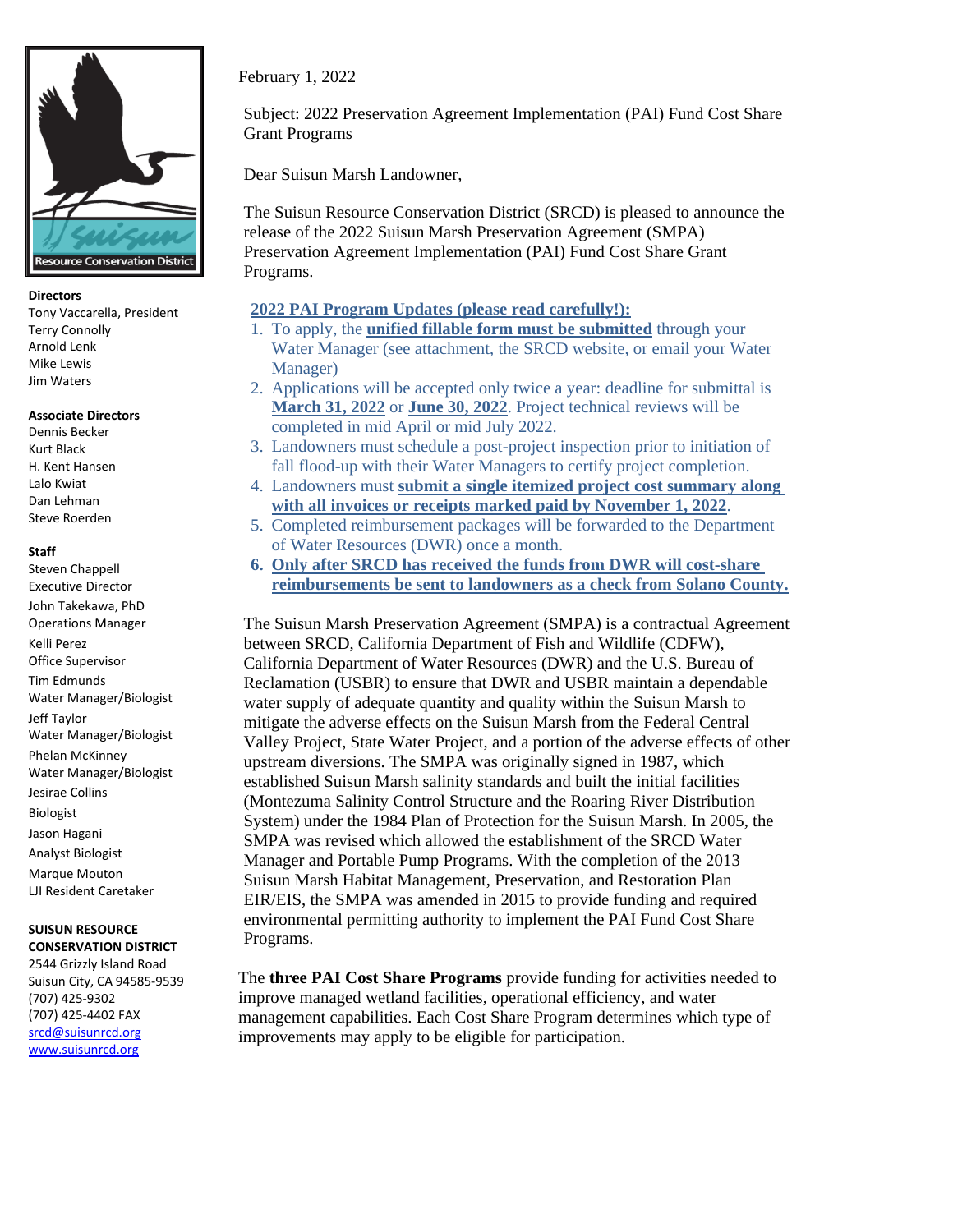

## **Directors**

Tony Vaccarella, President Terry Connolly Arnold Lenk Mike Lewis Jim Waters

## **Associate Directors**

Dennis Becker Kurt Black H. Kent Hansen Lalo Kwiat Dan Lehman Steve Roerden

## **Staff**

Steven Chappell Executive Director John Takekawa, PhD Operations Manager Kelli Perez Office Supervisor Tim Edmunds Water Manager/Biologist Jeff Taylor Water Manager/Biologist Phelan McKinney Water Manager/Biologist Jesirae Collins Biologist Jason Hagani Analyst Biologist Marque Mouton LJI Resident Caretaker **SUISUN RESOURCE CONSERVATION DISTRICT** 2544 Grizzly Island Road

Suisun City, CA 94585-9539 (707) 425-9302 (707) 425-4402 FAX [srcd@suisunrcd.org](mailto:srcd@suisunrcd.org) [www.suisunrcd.org](http://www.suisunrcd.org/)

February 1, 2022

Subject: 2022 Preservation Agreement Implementation (PAI) Fund Cost Share Grant Programs

Dear Suisun Marsh Landowner,

The Suisun Resource Conservation District (SRCD) is pleased to announce the release of the 2022 Suisun Marsh Preservation Agreement (SMPA) Preservation Agreement Implementation (PAI) Fund Cost Share Grant Programs.

## **2022 PAI Program Updates (please read carefully!):**

- 1. To apply, the **unified fillable form must be submitted** through your Water Manager (see attachment, the SRCD website, or email your Water Manager)
- 2. Applications will be accepted only twice a year: deadline for submittal is **March 31, 2022** or **June 30, 2022**. Project technical reviews will be completed in mid April or mid July 2022.
- 3. Landowners must schedule a post-project inspection prior to initiation of fall flood-up with their Water Managers to certify project completion.
- 4. Landowners must **submit a single itemized project cost summary along with all invoices or receipts marked paid by November 1, 2022**.
- 5. Completed reimbursement packages will be forwarded to the Department of Water Resources (DWR) once a month.
- **6. Only after SRCD has received the funds from DWR will cost-share reimbursements be sent to landowners as a check from Solano County.**

The Suisun Marsh Preservation Agreement (SMPA) is a contractual Agreement between SRCD, California Department of Fish and Wildlife (CDFW), California Department of Water Resources (DWR) and the U.S. Bureau of Reclamation (USBR) to ensure that DWR and USBR maintain a dependable water supply of adequate quantity and quality within the Suisun Marsh to mitigate the adverse effects on the Suisun Marsh from the Federal Central Valley Project, State Water Project, and a portion of the adverse effects of other upstream diversions. The SMPA was originally signed in 1987, which established Suisun Marsh salinity standards and built the initial facilities (Montezuma Salinity Control Structure and the Roaring River Distribution System) under the 1984 Plan of Protection for the Suisun Marsh. In 2005, the SMPA was revised which allowed the establishment of the SRCD Water Manager and Portable Pump Programs. With the completion of the 2013 Suisun Marsh Habitat Management, Preservation, and Restoration Plan EIR/EIS, the SMPA was amended in 2015 to provide funding and required environmental permitting authority to implement the PAI Fund Cost Share Programs.

The **three PAI Cost Share Programs** provide funding for activities needed to improve managed wetland facilities, operational efficiency, and water management capabilities. Each Cost Share Program determines which type of improvements may apply to be eligible for participation.